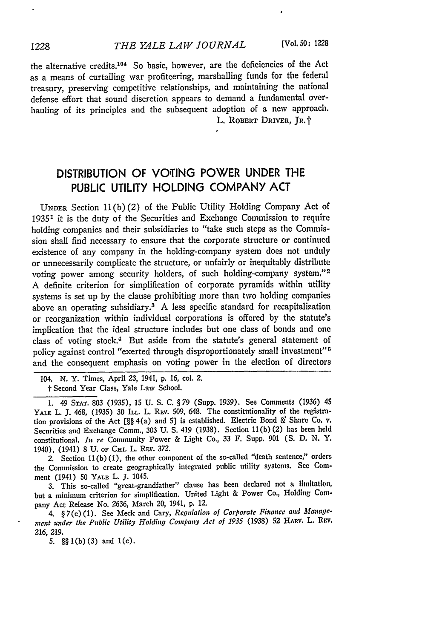the alternative credits.<sup>104</sup> So basic, however, are the deficiencies of the Act as a means of curtailing war profiteering, marshalling funds for the federal treasury, preserving competitive relationships, and maintaining the national defense effort that sound discretion appears to demand a fundamental overhauling of its principles and the subsequent adoption of a new approach. L. ROBERT DRIVER, IR.<sup>+</sup>

## **DISTRIBUTION** OF **VOTING** POWER **UNDER** THE **PUBLIC** UTILITY **HOLDING** COMPANY **ACT**

**UNDER** Section **11(b)** (2) of the Public Utility Holding Company Act of **19351** it is the duty of the Securities and Exchange Commission to require holding companies and their subsidiaries to "take such steps as the Commission shall find necessary to ensure that the corporate structure or continued existence of any company in the holding-company system does not unduly or unnecessarily complicate the structure, or unfairly or inequitably distribute voting power among security holders, of such holding-company system."<sup>2</sup> A definite criterion for simplification of corporate pyramids within utility systems is set up by the clause prohibiting more than two holding companies above an operating subsidiary. $3$  A less specific standard for recapitalization or reorganization within individual corporations is offered by the statute's implication that the ideal structure includes but one class **of** bonds and one class of voting stock.<sup>4</sup> But aside from the statute's general statement of policy against control "exerted through disproportionately small investment" and the consequent emphasis on voting power in the election of directors

104. N. Y. Times, April 23, 1941, p. 16, col. 2.

t Second Year Class, Yale Law School.

1. 49 STAT. **803** (1935), 15 U. S. C. § 79 (Supp. 1939). See Comments (1936) 45 YALE L. J. 468, (1935) 30 ILL. L. REV. 509, 648. The constitutionality of the registration provisions of the Act **[§§** 4(a) and **5]** is established. Electric Bond & Share Co. V. Securities and Exchange Comm., **303** U. **S.** 419 (1938). Section 11 (b) (2) has been held constitutional. *In re* Community Power & Light Co., 33 F. Supp. **901 (S. D.** N. Y. 1940), (1941) 8 U. or CHI. L. REV. 372.

2. Section 11(b) (1), the other component of the so-called "death sentence," orders the Commission to create geographically integrated public utility systems. See Comment (1941) **50** YALE L. J. 1045.

3. This so-called "great-grandfather" clause has been declared not a limitation, but a minimum criterion for simplification. United Light & Power Co., Holding Company Act Release No. 2636, March 20, 1941, **p.** 12.

4. § 7(c) (1). See Meck and Cary, *Regulation of Corporate Finance and Management under the Public Utility Holding Company Act of 1935* (1938) **52** HARV. L. REV. 216, 219.

5.  $\S(1(b)(3)$  and  $1(c)$ .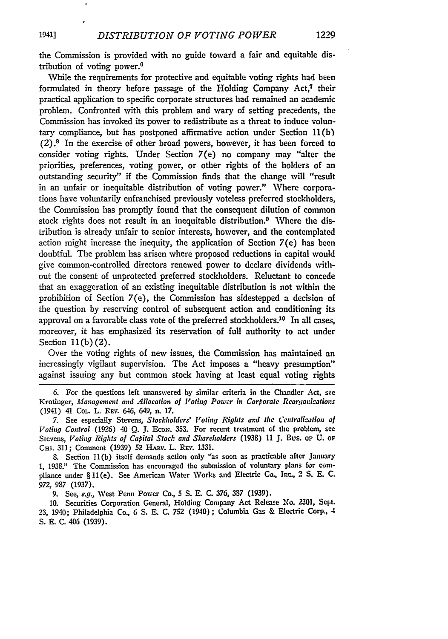the Commission is provided with no guide toward a fair and equitable distribution of voting power.<sup>6</sup>

While the requirements for protective and equitable voting rights had been formulated in theory before passage of the Holding Company  $Act^{\dagger}$ , their practical application to specific corporate structures had remained an academic problem. Confronted with this problem and wary of setting precedents, the Commission has invoked its power to redistribute as a threat to induce voluntary compliance, but has postponed affirmative action under Section 11(b)  $(2)$ .<sup>8</sup> In the exercise of other broad powers, however, it has been forced to consider voting rights. Under Section 7(e) no company may "alter the priorities, preferences, voting power, or other rights of the holders of an outstanding security" if the Commission finds that the change will "result in an unfair or inequitable distribution of voting power." Where corporations have voluntarily enfranchised previously voteless preferred stockholders, the Commission has promptly found that the consequent dilution of common stock rights does not result in an inequitable distribution.<sup>9</sup> Where the distribution is already unfair to senior interests, however, and the contemplated action might increase the inequity, the application of Section  $7(e)$  has been doubtful. The problem has arisen where proposed reductions in capital would give common-controlled directors renewed power to declare dividends without the consent of unprotected preferred stockholders. Reluctant to concede that an exaggeration of an existing inequitable distribution is not within the prohibition of Section 7(e), the Commission has sidestepped a decision of the question by reserving control of subsequent action and conditioning its approval on a favorable class vote of the preferred stockholders.<sup>10</sup> In all cases, moreover, it has emphasized its reservation of full authority to act under Section **11(b)** (2).

Over the voting rights of new issues, the Commission has maintained an increasingly vigilant supervision. The Act imposes a "heavy presumption" against issuing any but common stock having at least equal voting rights

6. For the questions left unanswered by similar criteria in the Chandler Act, see Krotinger, *Management and Allocation of Voling Po-wer* in *Corporate Reorqanizations* (1941) 41 COL. L. REv. 646, 649, n. 17.

7. See especially Stevens, *Stockholders' V'oting Rights and* **the** *Centralization of Voting Control* (1926) 40 **Q.** J. EcoN. 353. For recent treatment **of** the problem, see Stevens, *Voting Rights of Capital Stock and Shareholders* (1938) 11 **J.** Bus. oF U. or CHI. 311; Comment (1939) 52 HARV. L. REV. 1331.

**S.** Section 11(b) itself demands action only "as soon as practicable after January 1, 1938." The Commission has encouraged the submission of voluntary plans for compliance under **§** 11(e). See American Water Works and Electric Co., Inc., 2 S. **E.** C. *972,* 987 (1937).

9. See, *e.g.,* West Penn Power Co., **5 S. E.** C. 376, **387** (1939).

**10.** Securities Corporation General, Holding Company Act Release No. 2301, Sept. 23, 1940; Philadelphia Co., 6 **S.** E. C. 752 (1940); Columbia Gas & Electric Corp., 4 **S. E. C.** 406 **(1939).**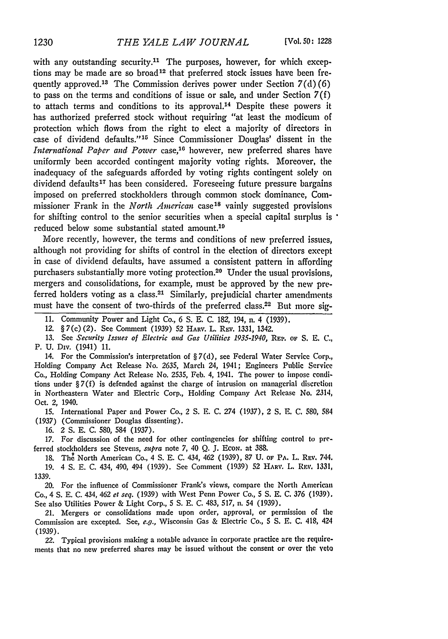with any outstanding security.<sup>11</sup> The purposes, however, for which exceptions may be made are so broad<sup>12</sup> that preferred stock issues have been frequently approved.<sup>13</sup> The Commission derives power under Section  $7(d)(6)$ to pass on the terms and conditions of issue or sale, and under Section  $7(f)$ to attach terms and conditions to its approval.<sup>14</sup> Despite these powers it has authorized preferred stock without requiring "at least the modicum of protection which flows from the right to elect a majority of directors in case of dividend defaults."<sup>15</sup> Since Commissioner Douglas' dissent in the *International Paper and Power* case,<sup>16</sup> however, new preferred shares have uniformly been accorded contingent majority voting rights. Moreover, the inadequacy of the safeguards afforded by voting rights contingent solely on dividend defaults<sup>17</sup> has been considered. Foreseeing future pressure bargains imposed on preferred stockholders through common stock dominance, Commissioner Frank in the *North American* case<sup>18</sup> vainly suggested provisions for shifting control to the senior securities when a special capital surplus is reduced below some substantial stated amount.<sup>10</sup>

More recently, however, the terms and conditions of new preferred issues, although not providing for shifts of control in the election of directors except in case of dividend defaults, have assumed a consistent pattern in affording purchasers substantially more voting protection.<sup>20</sup> Under the usual provisions, mergers and consolidations, for example, must be approved by the new preferred holders voting as a class.<sup>21</sup> Similarly, prejudicial charter amendments must have the consent of two-thirds of the preferred class.22 But more sig-

**11.** Community Power and Light Co., 6 **S. E. C.** 182, 194, n. 4 (1939).

12. § 7(c) (2). See Comment (1939) **52** HARv. L. Rav. 1331, 1342.

13. See *Security Issues of Electric and Gas Utilities 1935-1940*, REP. of S. E. C., P. U. Div. (1941) 11.

14. For the Commission's interpretation of § 7(d), see Federal Water Service Corp., Holding Company Act Release No. **2635,** March 24, 1941; Engineers Public Service Co., Holding Company Act Release No. 2535, Feb. 4, 1941. The power to impose conditions under § 7(f) is defended against the charge of intrusion on managerial **discretion** in Northeastern Water and Electric Corp., Holding Company Act Release *No.* 2314, Oct. 2, 1940.

15. International Paper and Power Co., 2 **S.** E. C. 274 (1937), 2 **S.** E. C. 580, 584 (1937) (Commissioner Douglas dissenting).

16. 2 **S.** E. C. 580, 584 (1937).

**17.** For discussion of the need for other contingencies for shifting control to preferred stockholders see Stevens, *supra* note 7, 40 Q. J. Econ. at 388.

**18.** The North American Co., 4 **S. E.** C. 434, 462 (1939), **87 U. oF** PA. L. REv. 744. **19.** 4 **S.** E. **C.** 434, 490, 494 (1939). See Comment (1939) **52 HARV.** L. REv. **1331,** 1339.

20. For the influence of Commissioner Frank's views, compare the North American Co., 4 **S.** E. C. 434, 462 *et seq.* (1939) with West Penn Power Co., 5 **S.** E. C. 376 (1939). See also Utilities Power & Light Corp., 5 S. E. C. 483, 517, n. 54 (1939).

21. Mergers or consolidations made upon order, approval, or permission **of** the Commission are excepted. See, *e.g.,* Wisconsin Gas & Electric Co., 5 **S.** E. C. 418, 424 (1939).

22. Typical provisions making a notable advance in corporate practice are the requirements that no new preferred shares may be issued without the consent or over the veto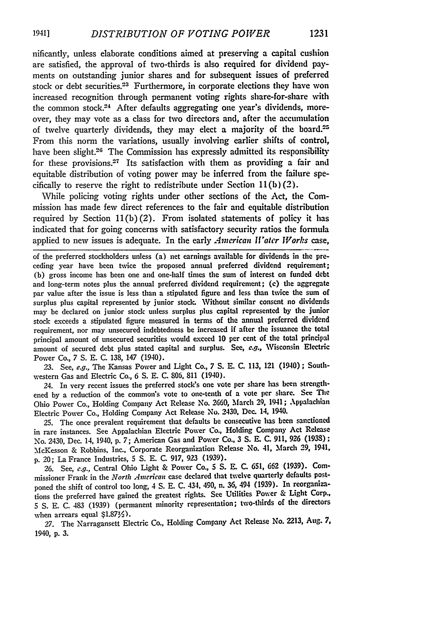nificantly, unless elaborate conditions aimed at preserving a capital cushion are satisfied, the approval of two-thirds is also required for dividend payments on outstanding junior shares and for subsequent issues of preferred stock or debt securities.<sup>23</sup> Furthermore, in corporate elections they have won increased recognition through permanent voting rights share-for-share with the common stock.<sup>24</sup> After defaults aggregating one year's dividends, moreover, they may vote as a class for two directors and, after the accumulation of twelve quarterly dividends, they may elect a majority of the board.<sup>25</sup> From this norm the variations, usually involving earlier shifts of control, have been slight.<sup>26</sup> The Commission has expressly admitted its responsibility for these provisions.<sup>27</sup> Its satisfaction with them as providing a fair and equitable distribution of voting power may be inferred from the failure specifically to reserve the right to redistribute under Section  $11(b)(2)$ .

While policing voting rights under other sections of the Act, the Commission has made few direct references to the fair and equitable distribution required by Section **11(b)** (2). From isolated statements of policy it has indicated that for going concerns with satisfactory security ratios the formula applied to new issues is adequate. In the early *American Water Works* case,

of the preferred stockholders unless (a) net earnings available for dividends in the preceding year have been twice the proposed annual preferred dividend requirement; (b) gross income has been one and one-half times the sum of interest on funded debt and long-term notes plus the annual preferred dividend requirement; **(c)** the aggregate par value after the issue is less than a stipulated figure and less than twice the sum of surplus plus capital represented by junior stock. Without similar consent no dividends may be declared on junior stock unless surplus plus capital represented by the junior stock exceeds a stipulated figure measured in terms of the annual preferred dividend requirement, nor may unsecured indebtedness be increased if after the issuance the total principal amount of unsecured securities would exceed 10 per cent of the total principal amount of secured debt plus stated capital and surplus. See, e.g., Wisconsin Electric Power Co., 7 S. E. C. 138, 147 (1940).

23. See, e.g., The Kansas Power and Light Co., 7 S. E. C. 113, 121 (1940) ; Southwestern Gas and Electric Co., 6 S. E. C. 806, 811 (1940).

24. In very recent issues the preferred stock's one vote per share has been strengthened **by** a reduction of the common's vote to one-tenth of a vote per share. See The Ohio Power Co., Holding Company Act Release No. **2660,** March **29,** 1941; Appalachian Electric Power Co., Holding Company Act Release **No.** 2430, Dec. 14, 1940.

**25.** The once prevalent requirement that defaults **be** consecutive has been sanctioned in rare instances. See Appalachian Electric Power Co., Holding Company Act Release No. 2430, Dec. 14, 1940, **p. 7;** American Gas and Power Co., **3 S.** E. **C. 911, 926 (1938);** McKesson & Robbins, Inc., Corporate Reorganization Release No. 41, March 29, 1941, **p.** *20;* La France Industries, **5 S. E. C. 917, 923 (1939).**

**26.** See, **e.g.,** Central Ohio Light & Power Co., **5 S. E. C.** 651, **662 (1939).** Commissioner Frank in the *North American* case declared that twelve quarterly defaults postponed the shift of control too long, 4 **S. E. C.** 434, 490, n. **36,** 494 **(1939).** In reorganizations the preferred have gained the greatest rights. See Utilities Power & Light Corp., **5 S. E. C.** 483 **(1939)** (permanent minority representation; two-thirds of the directors when arrears equal **\$1.87%).**

**27.** The Narragansett Electric Co., Holding Company Act Release No. **2213,** Aug. **7,** 1940, **p. 3.**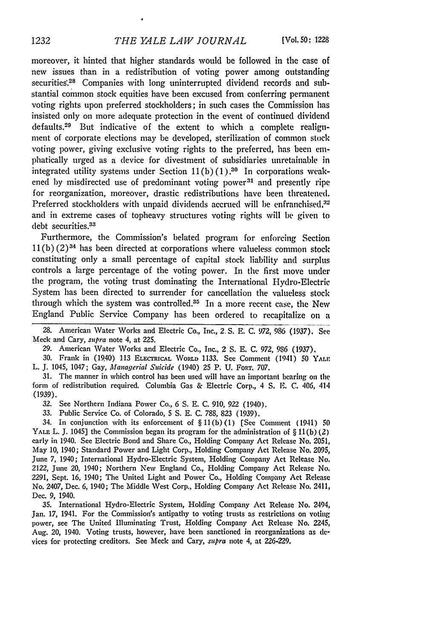moreover, it hinted that higher standards would be followed in the case of new issues than in a redistribution of voting power among outstanding securities.<sup>28</sup> Companies with long uninterrupted dividend records and substantial common stock equities have been excused from conferring permanent voting rights upon preferred stockholders; in such cases the Commission has insisted only on more adequate protection in the event of continued dividend defaults. 29 But indicative of the extent to which a complete realignment of corporate elections may be developed, sterilization of common stock voting power, giving exclusive voting rights to the preferred, has been emphatically urged as a device for divestment of subsidiaries unretainable in integrated utility systems under Section  $11(b)(1).^{30}$  In corporations weakened by misdirected use of predominant voting power<sup>31</sup> and presently ripe for reorganization, moreover, drastic redistributions have been threatened. Preferred stockholders with unpaid dividends accrued will be enfranchised,<sup>32</sup> and in extreme cases of topheavy structures voting rights will be given to debt securities.<sup>33</sup>

Furthermore, the Commission's belated program for enforcing Section  $11(b)$  (2)<sup>34</sup> has been directed at corporations where valueless common stock constituting only a small percentage of capital stock liability and surplus controls a large percentage of the voting power. In the first move under the program, the voting trust dominating the International Hydro-Electric System has been directed to surrender for cancellation the valueless stock through which the system was controlled. $35$  In a more recent case, the New England Public Service Company has been ordered to recapitalize on a

28. American Water Works and Electric Co., Inc., *2,* S. **E.** C. 972, 986 (1937). See Meck and Cary, supra note 4, at 225.

29. American Water Works and Electric Co., Inc., 2 S. **E.** C. 972, 986 (1937).

30. Frank in (19,40) 113 ELECTRICAL WORLD 1133. See Comment (1941) 50 YALF L. J. 1045, 1047; Gay, *Managerial Suicide* (1940) 25 P. U. FORT. 707.

31. The manner in which control has been used will have an important bearing on the form of redistribution required. Columbia Gas & Electric Corp., 4 S. *E,* C. 406, 414 (1939).

32. See Northern Indiana Power Co., 6 **S. E.** C. 910, 922 (1940).

33. Public Service Co. of Colorado, **5** S. E. C. 788, 823 (1939).

34. In conjunction with its enforcement of § 11(b)(1) [See Comment (1941) **50 YALE** L. J. 1045] the Commission began its program for the administration of § 11(b) (2) early in 1940. See Electric Bond and Share Co., Holding Company Act Release No. 2051, May 10, 1940; Standard Power and Light Corp., Holding Company Act Release No. 2095, June 7, 1940; International Hydro-Electric System, Holding Company Act Release No. 2122, June 20, 1940; Northern New England Co., Holding Company Act Release No, 2291, Sept. 16, 1940; The United Light and Power Co., Holding Company Act Release No. 2407, Dec. 6, 1940; The Middle West Corp., Holding Company Act Release No. 2411, Dec. 9, 1940.

35. International Hydro-Electric System, Holding Company Act Release No. 2494, Jan. 17, 1941. For the Commission's antipathy to voting trusts as restrictions on voting power, see The United Illuminating Trust, Holding Company Act Release No. 2245, Aug. 20, 1940. Voting trusts, however, have been sanctioned in reorganizations as devices for protecting creditors. See Meck and Cary, *supra* note 4, at 226-229.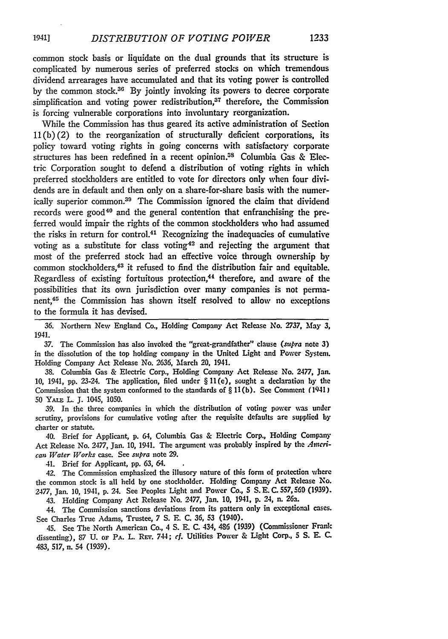common stock basis or liquidate on the dual grounds that its structure is complicated **by** numerous series of preferred stocks on which tremendous dividend arrearages have accumulated and that its voting power is controlled **by** the common stock.36 **By** jointly invoking its powers to decree corporate simplification and voting power redistribution,<sup>37</sup> therefore, the Commission is forcing vulnerable corporations into involuntary reorganization.

While the Commission has thus geared its active administration of Section **11(b)(2)** to the reorganization of structurally deficient corporations, its policy toward voting rights in going concerns with satisfactory corporate structures has been redefined in a recent opinion.<sup>38</sup> Columbia Gas & Electric Corporation sought to defend a distribution of voting rights in which preferred stockholders are entitled to vote for directors only when four dividends are in default and then only on a share-for-share basis with the numerically superior common.<sup>39</sup> The Commission ignored the claim that dividend records were good<sup>40</sup> and the general contention that enfranchising the preferred would impair the rights of the common stockholders who had assumed the risks in return for control.41 Recognizing the inadequacies of cumulative voting as a substitute for class voting 42 and rejecting the argument that most of the preferred stock had an effective voice through ownership **by** common stockholders,<sup>43</sup> it refused to find the distribution fair and equitable. Regardless of existing fortuitous protection, $44$  therefore, and aware of the possibilities that its own jurisdiction over many companies is not permanent,45 the Commission has shown itself resolved to allow no exceptions to the formula it has devised.

**36.** Northern New England Co., Holding Company Act Release No. **-2737, May 3,** 1941.

**37.** The Commission has also invoked the "great-grandfather" clause *(supra* note **3)** in the dissolution of the top holding company in the United Light and Power System. Holding Company Act Release No. 2636, March 20, 1941.

38. Columbia Gas & Electric Corp., Holding Company Act Release No. **2477,** Jan. **10,** 1941, pp. 23-24. The application, filed under § 11(e), sought a declaration **by** the Commission that the system conformed to the standards of § 11(b). See Comment **(** <sup>1941</sup> **50** YAiz L. **J.** 1045, **1050.**

39. In the three companies in which the distribution of voting power was under scrutiny, provisions for cumulative voting after the requisite defaults are supplied by charter or statute.

40. Brief for Applicant, p. 64, Columbia Gas & Electric Corp., Holding Company Act Release No. *2477,* Jan. 10, 1941. The argument was probably inspired by the *Anerican Water Works* case. See *supra* note 29.

41. Brief for Applicant, pp. 63, 64.

42. The Commission emphasized the illusory nature of this form of protection where the common stock is all held by one stockholder. Holding Company Act Release No. 2477, Jan. 10, 1941, p. 24. See Peoples Light and Power Co., **5** S. E. C. 557,560 (1939).

43. Holding Company Act Release No. 2477, Jan. 10, 1941, p. 24, n. 26a.

44. The Commission sanctions deviations from its pattern only in exceptional cases. See Charles True Adams, Trustee, 7 **S.** E. C. **36,** 53 (1940).

45. See The North American Co., 4 **S.** E. C. 434, 486 (1939) (Commissioner Frank dissenting), 87 U. oF PA. L. REv. 744; *cf.* Utilities Power & Light Corp., **5** S. E. C. 483, 517, n. 54 (1939).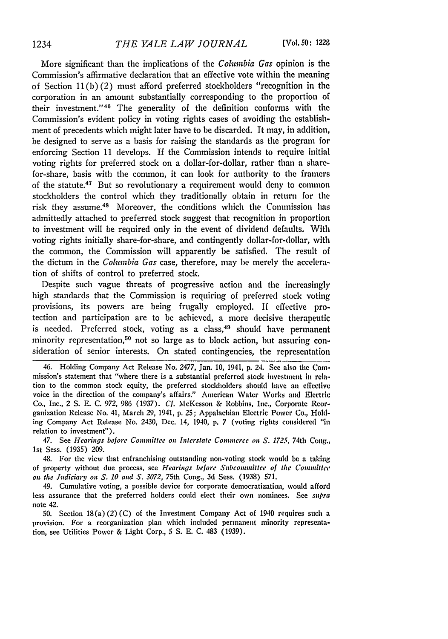More significant than the implications of the *Columbia Gas* opinion is the Commission's affirmative declaration that an effective vote within the meaning of Section **11(b)** (2) must afford preferred stockholders "recognition in the corporation in an amount substantially corresponding to the proportion of their investment." $46$  The generality of the definition conforms with the Commission's evident policy in voting rights cases of avoiding the establishment of precedents which might later have to be discarded. It may, in addition, be designed to serve as a basis for raising the standards as the program for enforcing Section **11** develops. **If** the Commission intends to require initial voting rights for preferred stock on a dollar-for-dollar, rather than a sharefor-share, basis with the common, it can look for authority to the framers of the statute.47 But so revolutionary a requirement would deny to common stockholders the control which they traditionally obtain in return for the risk they assume.<sup>48</sup> Moreover, the conditions which the Commission has admittedly attached to preferred stock suggest that recognition in proportion to investment will be required only in the event of dividend defaults. With voting rights initially share-for-share, and contingently dollar-for-dollar, with the common, the Commission will apparently be satisfied. The result of the dictum in the *Columbia Gas* case, therefore, may be merely the acceleration of shifts of control to preferred stock.

Despite such vague threats of progressive action and the increasingly high standards that the Commission is requiring of preferred stock voting provisions, its powers are being frugally employed. **If** effective protection and participation are to be achieved, a more decisive therapeutic is needed. Preferred stock, voting as a class,<sup>49</sup> should have permanent minority representation,<sup>50</sup> not so large as to block action, but assuring consideration of senior interests. On stated contingencies, the representation

47. See *Hearings before Committee on Interstate Commerce on S. 1725,* 74th Cong., 1st Sess. (1935) 209.

48. For the view that enfranchising outstanding non-voting stock would be a taking of property without due process, see *Hearings before Subconnittee of the Committee om the Judiciary on S. 10 and S. 3072,* 75th Cong., 3d Sess. (1938) 571.

49. Cumulative voting, a possible device for corporate democratization, would afford less assurance that the preferred holders could elect their own nominees. See *snpra* note 42.

50. Section 18(a) (2) (C) of the Investment Company Act of 1940 requires such a provision. For a reorganization plan which included permanent minority representation, see Utilities Power & Light Corp., 5 **S.** E. C. 483 (1939).

<sup>46.</sup> Holding Company Act Release No. 2477, Jan. **10,** 1941, **p.** 24. See also the Commission's statement that "where there is a substantial preferred stock investment **in** relation to the common stock equity, the preferred stockholders should have an effective voice in the direction of the company's affairs." American Water Works and Electric Co., Inc., 2 **S.** E. C. *972,* 986 (1937). *Cf.* McKesson & Robbins, Inc., Corporate Reorganization Release No. 41, March 29, 1941, p. 25; Appalachian Electric Power Co., Holding Company Act Release No. 2430, Dec. 14, 1940, p. 7 (voting rights considered "iin relation to investment").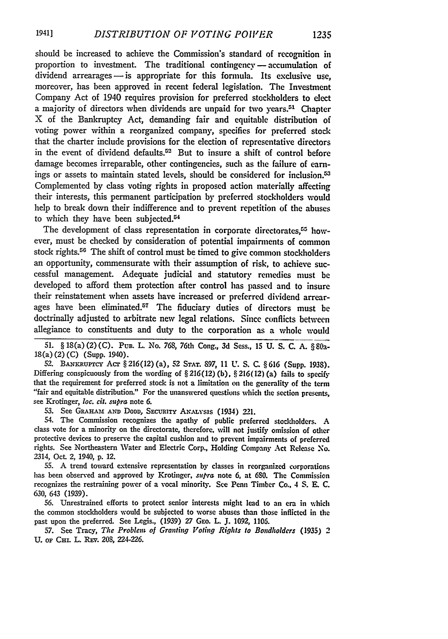should be increased to achieve the Commission's standard of recognition in proportion to investment. The traditional contingency - accumulation of  $dividend$  arrearages  $-$  is appropriate for this formula. Its exclusive use, moreover, has been approved in recent federal legislation. The Investment Company Act of 1940 requires provision for preferred stockholders to elect a majority of directors when dividends are unpaid for two years.<sup>51</sup> Chapter X of the Bankruptcy Act, demanding fair and equitable distribution of voting power within a reorganized company, specifies for preferred stock that the charter include provisions for the election of representative directors in the event of dividend defaults.<sup>52</sup> But to insure a shift of control before damage becomes irreparable, other contingencies, such as the failure of earnings or assets to maintain stated levels, should be considered for inclusion.<sup>53</sup> Complemented **by** class voting rights in proposed action materially affecting their interests, this permanent participation by preferred stockholders would help to break down their indifference and to prevent repetition of the abuses to which they have been subjected.<sup>54</sup>

The development of class representation in corporate directorates,<sup>55</sup> however, must be checked **by** consideration of potential impairments of common stock rights.56 The shift of control must be timed to give common stockholders an opportunity, commensurate with their assumption of risk, to achieve successful management. Adequate judicial and statutory remedies must **be** developed to afford them protection after control has passed and to insure their reinstatement when assets have increased or preferred dividend arrearages have been eliminated.57 The fiduciary duties of directors must **be** doctrinally adjusted to arbitrate new legal relations. Since conflicts between allegiance to constituents and duty to the corporation as a whole would

**51.** § 18(a) (2) **(C).** Pun. L. No. **768,** 76th Cong., **3d** Sess., **15 U. S. C. A.** § **80a-**18(a) (2) **(C)** (Supp. 1940).

52. BmRaup=cr **Act** § 216(12) (a), 52 STAr. 897, 11 **U.** S. C. § 616 (Supp. 1938). Differing conspicuously from the wording of § 216(12) (b), § 216(12) (a) fails to **specify** that the requirement for preferred stock is not a limitation on the generality of the term "fair and equitable distribution." For the unanswered questions which the section presents, see Krotinger, *loc.* cit. *supra* note 6.

**53.** See GaaHAMcx **AND DODD, SEcURIrY** AxALysis (1934) 221.

54. The Commission recognizes the apathy of public preferred stockholders. **A** class vote for a minority on the directorate, therefore, will not justify omission of other protective devices to preserve the capital cushion and to prevent impairments of preferred rights. See Northeastern Water and Electric Corp., Holding Company Act Release No. 2314, Oct. 2, 1940, **p.** 12.

**55. A** trend toward extensive representation **by** classes in reorganized corporations has been observed and approved **by** Krotinger, *supra* note 6, at **680.** The Commission recognizes the restraining power of a vocal minority. **See** Penn Timber Co., 4 **S. E. C.** 630, 643 **(1939).**

**56.** Unrestrained efforts to protect senior interests might lead to an era in which the common stockholders would be subjected to worse abuses than those inflicted in the past upon the preferred. See Legis., (1939) 27 GEo. L. J. 1092, 1106.

**57.** See Tracy, *The Problen of Grantibg Votig Rights to Bondholders* **(1935)** 2 **U. OF CH. L.** REv. 208, 224-226.